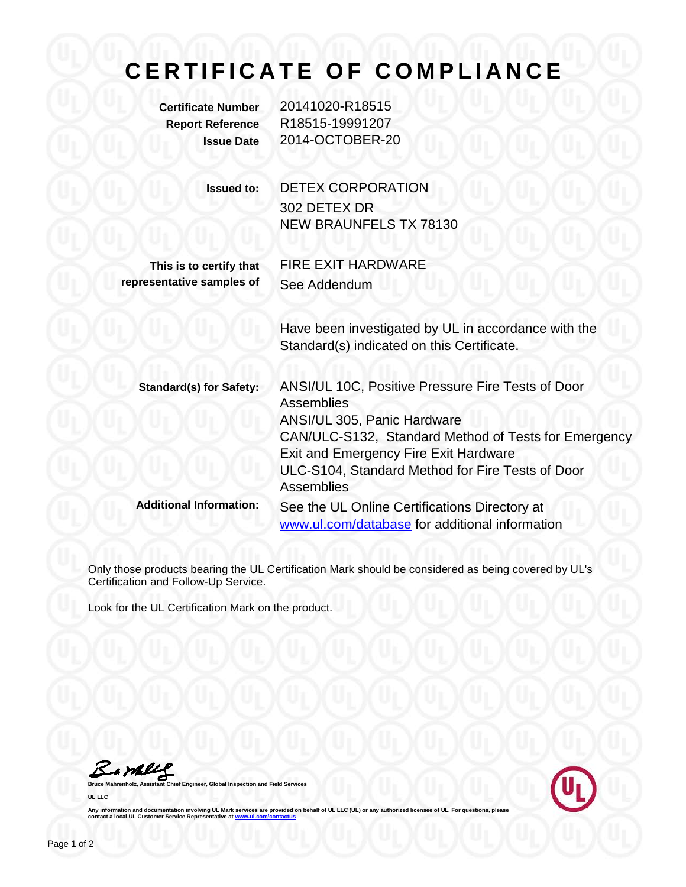## **CERTIFICATE OF COMPLIANCE**

**Certificate Number** 20141020-R18515 **Report Reference** R18515-19991207 **Issue Date** 2014-OCTOBER-20

| <b>Issued to:</b> | <b>DETEX CORPORATION</b>      |
|-------------------|-------------------------------|
|                   | 302 DETEX DR                  |
|                   | <b>NEW BRAUNFELS TX 78130</b> |
|                   |                               |

**This is to certify that representative samples of** FIRE EXIT HARDWARE See Addendum

Have been investigated by UL in accordance with the Standard(s) indicated on this Certificate.

| <b>Standard(s) for Safety:</b> | ANSI/UL 10C, Positive Pressure Fire Tests of Door<br><b>Assemblies</b><br>ANSI/UL 305, Panic Hardware<br>CAN/ULC-S132, Standard Method of Tests for Emergency |
|--------------------------------|---------------------------------------------------------------------------------------------------------------------------------------------------------------|
|                                | <b>Exit and Emergency Fire Exit Hardware</b><br>ULC-S104, Standard Method for Fire Tests of Door<br><b>Assemblies</b>                                         |
| <b>Additional Information:</b> | See the UL Online Certifications Directory at<br>www.ul.com/database for additional information                                                               |

Only those products bearing the UL Certification Mark should be considered as being covered by UL's Certification and Follow-Up Service.

Look for the UL Certification Mark on the product.

**Bruce Mahrenholz, Assistant Chief Engineer, Global Inspection and Field Services** 

**UL LLC**



Any information and documentation involving UL Mark services are provided on behalf of UL LLC (UL) or any authorized licensee of UL. For questions, please<br>contact a local UL Customer Service Representative at <u>www.ul.com/c</u>